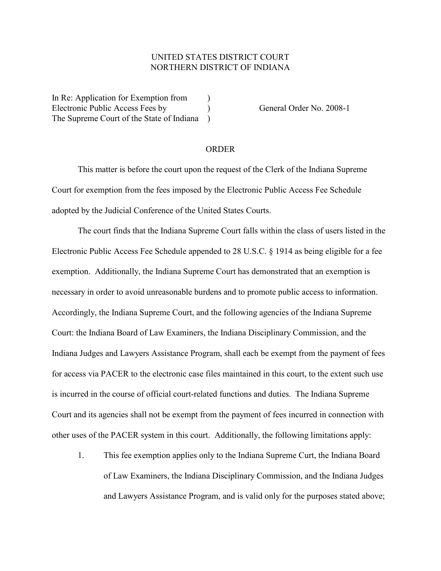## UNITED STATES DISTRICT COURT NORTHERN DISTRICT OF INDIANA

In Re: Application for Exemption from  $\qquad$ ) Electronic Public Access Fees by (General Order No. 2008-1) The Supreme Court of the State of Indiana )

## ORDER

This matter is before the court upon the request of the Clerk of the Indiana Supreme Court for exemption from the fees imposed by the Electronic Public Access Fee Schedule adopted by the Judicial Conference of the United States Courts.

The court finds that the Indiana Supreme Court falls within the class of users listed in the Electronic Public Access Fee Schedule appended to 28 U.S.C. § 1914 as being eligible for a fee exemption. Additionally, the Indiana Supreme Court has demonstrated that an exemption is necessary in order to avoid unreasonable burdens and to promote public access to information. Accordingly, the Indiana Supreme Court, and the following agencies of the Indiana Supreme Court: the Indiana Board of Law Examiners, the Indiana Disciplinary Commission, and the Indiana Judges and Lawyers Assistance Program, shall each be exempt from the payment of fees for access via PACER to the electronic case files maintained in this court, to the extent such use is incurred in the course of official court-related functions and duties. The Indiana Supreme Court and its agencies shall not be exempt from the payment of fees incurred in connection with other uses of the PACER system in this court. Additionally, the following limitations apply:

1. This fee exemption applies only to the Indiana Supreme Curt, the Indiana Board of Law Examiners, the Indiana Disciplinary Commission, and the Indiana Judges and Lawyers Assistance Program, and is valid only for the purposes stated above;